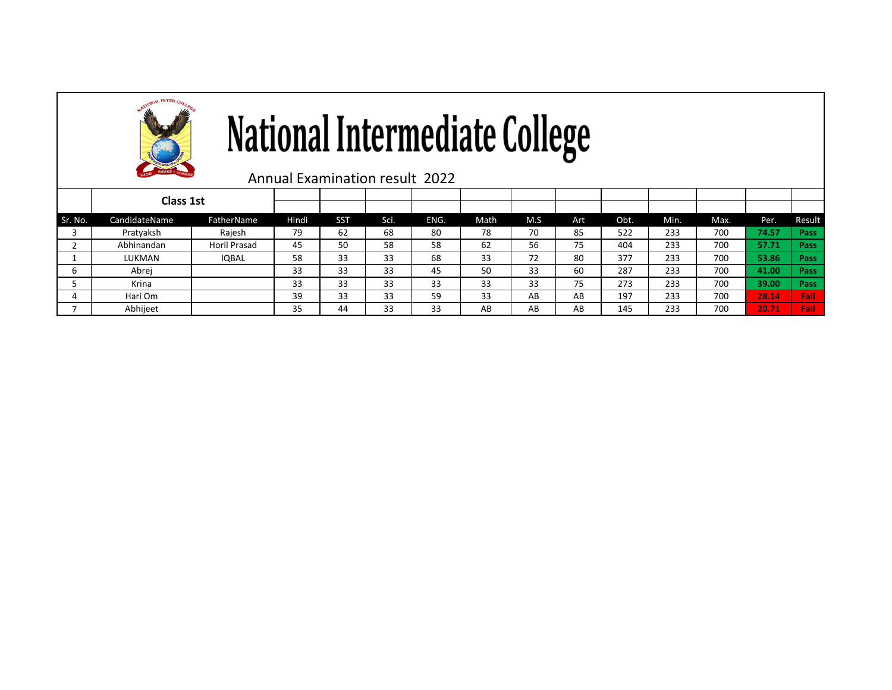

# National Intermediate College

Annual Examination result 2022

|         | Class 1st     |              |       |            |      |      |      |     |     |      |      |      |       |        |
|---------|---------------|--------------|-------|------------|------|------|------|-----|-----|------|------|------|-------|--------|
|         |               |              |       |            |      |      |      |     |     |      |      |      |       |        |
| Sr. No. | CandidateName | FatherName   | Hindi | <b>SST</b> | Sci. | ENG. | Math | M.S | Art | Obt. | Min. | Max. | Per.  | Result |
|         | Pratyaksh     | Rajesh       | 79    | 62         | 68   | 80   | 78   | 70  | 85  | 522  | 233  | 700  | 74.57 | Pass   |
|         | Abhinandan    | Horil Prasad | 45    | 50         | 58   | 58   | 62   | 56  | 75  | 404  | 233  | 700  | 57.71 | Pass   |
|         | LUKMAN        | <b>IQBAL</b> | 58    | 33         | 33   | 68   | 33   | 72  | 80  | 377  | 233  | 700  | 53.86 | Pass   |
|         | Abrej         |              | 33    | 33         | 33   | 45   | 50   | 33  | 60  | 287  | 233  | 700  | 41.00 | Pass   |
|         | Krina         |              | 33    | 33         | 33   | 33   | 33   | 33  | 75  | 273  | 233  | 700  | 39.00 | Pass   |
|         | Hari Om       |              | 39    | 33         | 33   | 59   | 33   | AB  | AB  | 197  | 233  | 700  | 28.14 | Fail   |
|         | Abhijeet      |              | 35    | 44         | 33   | 33   | AB   | AB  | AB  | 145  | 233  | 700  | 20.71 | Fail   |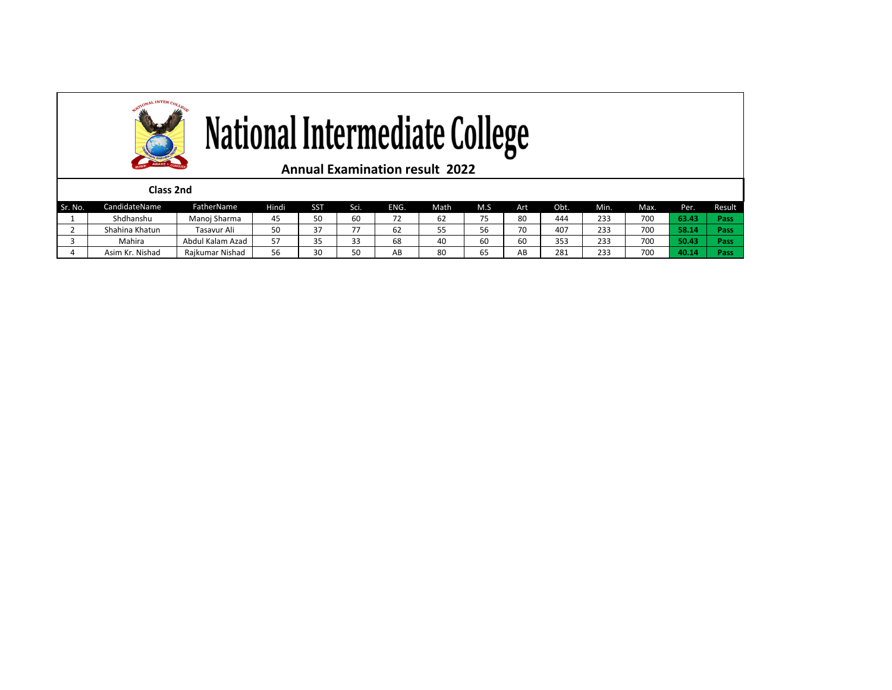

| NO. | CdII<br>qiqateiyame | Father Naffle         | 7111 | აა                                            | SCI.        | ENG.                     | Matri.              | IVI.J      | ÷м.                      | JDL. | IVIIII | IVIdX. | rer.          | resul |
|-----|---------------------|-----------------------|------|-----------------------------------------------|-------------|--------------------------|---------------------|------------|--------------------------|------|--------|--------|---------------|-------|
|     | Shdhanshu           | Manoj Sharma          |      | $\Gamma$ <sup><math>\Omega</math></sup><br>oυ | 60          | $\overline{\phantom{a}}$ | $\sim$ $\sim$<br>6Z | $- -$      | 80                       | 444  | 233    | 700    | <b>32.73%</b> | Pass  |
|     | Shahina Khatun      | Tasavur Ali           | oυ   | $\sim$ $-$                                    | --          | οz                       | --                  | $ -$<br>56 | $\overline{\phantom{a}}$ | 407  | 233    | 700    | <b>FO</b> 4   | Pass  |
|     | Mahira              | l Kalam Azad<br>Abdul |      |                                               | $\sim$<br>ັ | 68                       | 40                  | 60         | 60                       | 353  | 233    | 700    | 50.43         | Pass  |
|     | . Nishad<br>Asim Kr | Rajkumar Nishad       | 56   | 30                                            | 50          | AB                       | 80                  | $-$<br>ხ5  | AB                       | 281  | 233    | 700    | 70.1          | vas.  |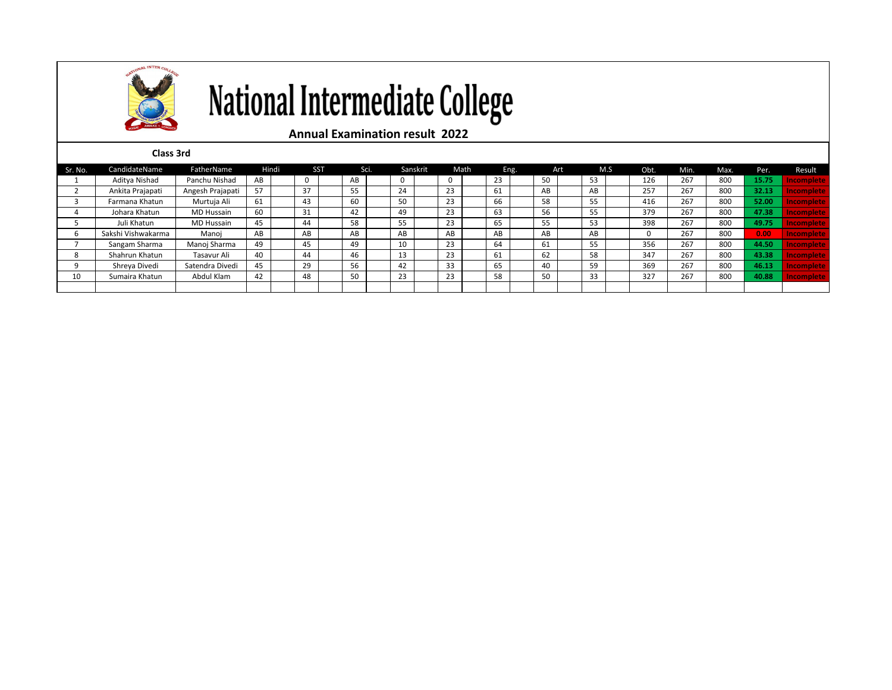

## National Intermediate College

### **Annual Examination result 2022**

| Class 3rd |
|-----------|
|-----------|

| Sr. No. | CandidateName      | FatherName        | Hindi | <b>SST</b> |    | Sci. |    | Sanskrit |    | Math |    | Eng. |    | Art |    | M.S | Obt. | Min. | Max. | Per.  | Result            |
|---------|--------------------|-------------------|-------|------------|----|------|----|----------|----|------|----|------|----|-----|----|-----|------|------|------|-------|-------------------|
|         | Aditya Nishad      | Panchu Nishad     | AB    | 0          | AB |      | 0  |          | U  |      | 23 |      | 50 |     | 53 |     | 126  | 267  | 800  | 15.75 | <b>London</b>     |
|         | Ankita Prajapati   | Angesh Prajapati  | 57    | 37         | 55 |      | 24 |          | 23 |      | 61 |      | AB |     | AB |     | 257  | 267  | 800  | 32.13 |                   |
|         | Farmana Khatun     | Murtuja Ali       | 61    | 43         | 60 |      | 50 |          | 23 |      | 66 |      | 58 |     | 55 |     | 416  | 267  | 800  | 52.00 |                   |
|         | Johara Khatun      | MD Hussain        | 60    | 31         | 42 |      | 49 |          | 23 |      | 63 |      | 56 |     | 55 |     | 379  | 267  | 800  | 47.38 | ncomplete         |
|         | Juli Khatun        | <b>MD Hussain</b> | 45    | 44         | 58 |      | 55 |          | 23 |      | 65 |      | 55 |     | 53 |     | 398  | 267  | 800  | 49.75 | Incomplete        |
|         | Sakshi Vishwakarma | Manoi             | AB    | AB         | AB |      | AB |          | AB |      | AB |      | AB |     | AB |     |      | 267  | 800  | 0.00  | Incomplete        |
|         | Sangam Sharma      | Manoj Sharma      | 49    | 45         | 49 |      | 10 |          | 23 |      | 64 |      | 61 |     | 55 |     | 356  | 267  | 800  | 44.50 | <b>Incomplete</b> |
|         | Shahrun Khatun     | Tasavur Ali       | 40    | 44         | 46 |      | 13 |          | 23 |      | 61 |      | 62 |     | 58 |     | 347  | 267  | 800  | 43.38 | <b>Incomplete</b> |
|         | Shreya Divedi      | Satendra Divedi   | 45    | 29         | 56 |      | 42 |          | 33 |      | 65 |      | 40 |     | 59 |     | 369  | 267  | 800  | 46.13 |                   |
| 10      | Sumaira Khatun     | Abdul Klam        | 42    | 48         | 50 |      | 23 |          | 23 |      | 58 |      | 50 |     | 33 |     | 327  | 267  | 800  | 40.88 | <b>Incomplete</b> |
|         |                    |                   |       |            |    |      |    |          |    |      |    |      |    |     |    |     |      |      |      |       |                   |